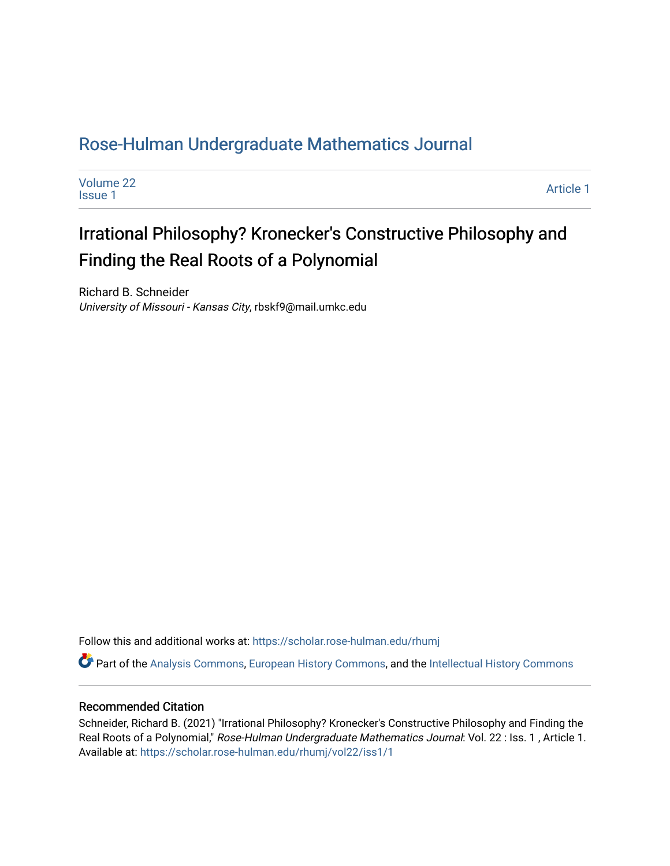# [Rose-Hulman Undergraduate Mathematics Journal](https://scholar.rose-hulman.edu/rhumj)

| Volume 22      | Article 1 |
|----------------|-----------|
| <b>Issue 1</b> |           |

# Irrational Philosophy? Kronecker's Constructive Philosophy and Finding the Real Roots of a Polynomial

Richard B. Schneider University of Missouri - Kansas City, rbskf9@mail.umkc.edu

Follow this and additional works at: [https://scholar.rose-hulman.edu/rhumj](https://scholar.rose-hulman.edu/rhumj?utm_source=scholar.rose-hulman.edu%2Frhumj%2Fvol22%2Fiss1%2F1&utm_medium=PDF&utm_campaign=PDFCoverPages)

Part of the [Analysis Commons](http://network.bepress.com/hgg/discipline/177?utm_source=scholar.rose-hulman.edu%2Frhumj%2Fvol22%2Fiss1%2F1&utm_medium=PDF&utm_campaign=PDFCoverPages), [European History Commons](http://network.bepress.com/hgg/discipline/492?utm_source=scholar.rose-hulman.edu%2Frhumj%2Fvol22%2Fiss1%2F1&utm_medium=PDF&utm_campaign=PDFCoverPages), and the [Intellectual History Commons](http://network.bepress.com/hgg/discipline/501?utm_source=scholar.rose-hulman.edu%2Frhumj%2Fvol22%2Fiss1%2F1&utm_medium=PDF&utm_campaign=PDFCoverPages)

### Recommended Citation

Schneider, Richard B. (2021) "Irrational Philosophy? Kronecker's Constructive Philosophy and Finding the Real Roots of a Polynomial," Rose-Hulman Undergraduate Mathematics Journal: Vol. 22 : Iss. 1, Article 1. Available at: [https://scholar.rose-hulman.edu/rhumj/vol22/iss1/1](https://scholar.rose-hulman.edu/rhumj/vol22/iss1/1?utm_source=scholar.rose-hulman.edu%2Frhumj%2Fvol22%2Fiss1%2F1&utm_medium=PDF&utm_campaign=PDFCoverPages)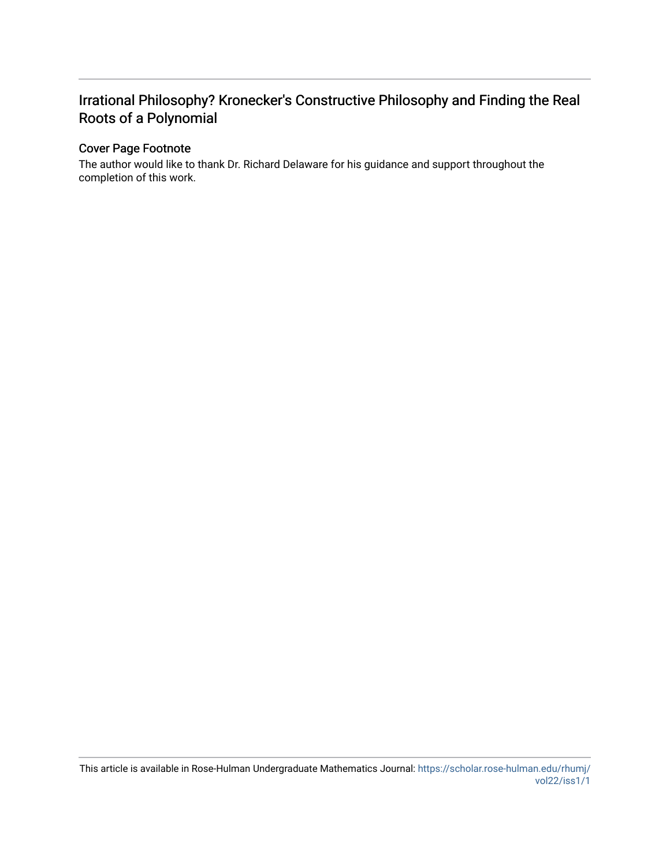# Irrational Philosophy? Kronecker's Constructive Philosophy and Finding the Real Roots of a Polynomial

### Cover Page Footnote

The author would like to thank Dr. Richard Delaware for his guidance and support throughout the completion of this work.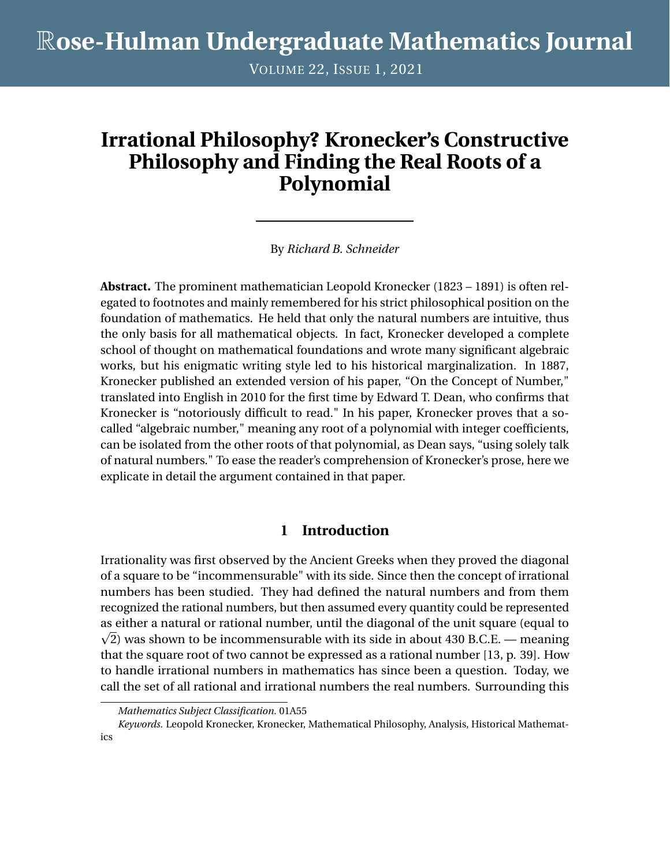VOLUME 22, ISSUE 1, 2021

# **Irrational Philosophy? Kronecker's Constructive Philosophy and Finding the Real Roots of a Polynomial**

By *Richard B. Schneider*

**Abstract.** The prominent mathematician Leopold Kronecker (1823 – 1891) is often relegated to footnotes and mainly remembered for his strict philosophical position on the foundation of mathematics. He held that only the natural numbers are intuitive, thus the only basis for all mathematical objects. In fact, Kronecker developed a complete school of thought on mathematical foundations and wrote many significant algebraic works, but his enigmatic writing style led to his historical marginalization. In 1887, Kronecker published an extended version of his paper, "On the Concept of Number," translated into English in 2010 for the first time by Edward T. Dean, who confirms that Kronecker is "notoriously difficult to read." In his paper, Kronecker proves that a socalled "algebraic number," meaning any root of a polynomial with integer coefficients, can be isolated from the other roots of that polynomial, as Dean says, "using solely talk of natural numbers." To ease the reader's comprehension of Kronecker's prose, here we explicate in detail the argument contained in that paper.

## **1 Introduction**

Irrationality was first observed by the Ancient Greeks when they proved the diagonal of a square to be "incommensurable" with its side. Since then the concept of irrational numbers has been studied. They had defined the natural numbers and from them recognized the rational numbers, but then assumed every quantity could be represented as either a natural or rational number, until the diagonal of the unit square (equal to p  $\sqrt{2}$ ) was shown to be incommensurable with its side in about 430 B.C.E. — meaning that the square root of two cannot be expressed as a rational number [13, p. 39]. How to handle irrational numbers in mathematics has since been a question. Today, we call the set of all rational and irrational numbers the real numbers. Surrounding this

*Mathematics Subject Classification.* 01A55

*Keywords.* Leopold Kronecker, Kronecker, Mathematical Philosophy, Analysis, Historical Mathematics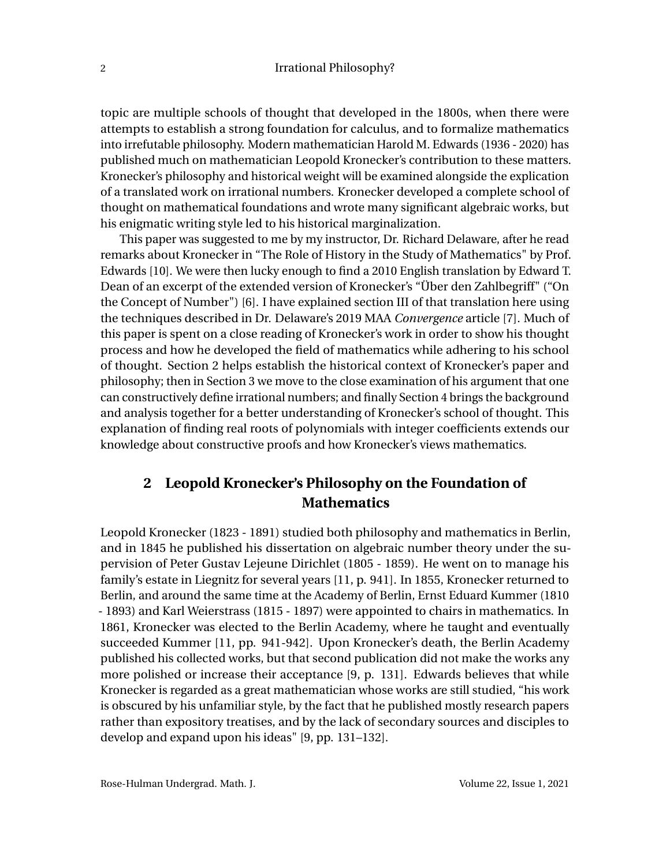topic are multiple schools of thought that developed in the 1800s, when there were attempts to establish a strong foundation for calculus, and to formalize mathematics into irrefutable philosophy. Modern mathematician Harold M. Edwards (1936 - 2020) has published much on mathematician Leopold Kronecker's contribution to these matters. Kronecker's philosophy and historical weight will be examined alongside the explication of a translated work on irrational numbers. Kronecker developed a complete school of thought on mathematical foundations and wrote many significant algebraic works, but his enigmatic writing style led to his historical marginalization.

This paper was suggested to me by my instructor, Dr. Richard Delaware, after he read remarks about Kronecker in "The Role of History in the Study of Mathematics" by Prof. Edwards [10]. We were then lucky enough to find a 2010 English translation by Edward T. Dean of an excerpt of the extended version of Kronecker's "Über den Zahlbegriff" ("On the Concept of Number") [6]. I have explained section III of that translation here using the techniques described in Dr. Delaware's 2019 MAA *Convergence* article [7]. Much of this paper is spent on a close reading of Kronecker's work in order to show his thought process and how he developed the field of mathematics while adhering to his school of thought. Section 2 helps establish the historical context of Kronecker's paper and philosophy; then in Section 3 we move to the close examination of his argument that one can constructively define irrational numbers; and finally Section 4 brings the background and analysis together for a better understanding of Kronecker's school of thought. This explanation of finding real roots of polynomials with integer coefficients extends our knowledge about constructive proofs and how Kronecker's views mathematics.

# **2 Leopold Kronecker's Philosophy on the Foundation of Mathematics**

Leopold Kronecker (1823 - 1891) studied both philosophy and mathematics in Berlin, and in 1845 he published his dissertation on algebraic number theory under the supervision of Peter Gustav Lejeune Dirichlet (1805 - 1859). He went on to manage his family's estate in Liegnitz for several years [11, p. 941]. In 1855, Kronecker returned to Berlin, and around the same time at the Academy of Berlin, Ernst Eduard Kummer (1810 - 1893) and Karl Weierstrass (1815 - 1897) were appointed to chairs in mathematics. In 1861, Kronecker was elected to the Berlin Academy, where he taught and eventually succeeded Kummer [11, pp. 941-942]. Upon Kronecker's death, the Berlin Academy published his collected works, but that second publication did not make the works any more polished or increase their acceptance [9, p. 131]. Edwards believes that while Kronecker is regarded as a great mathematician whose works are still studied, "his work is obscured by his unfamiliar style, by the fact that he published mostly research papers rather than expository treatises, and by the lack of secondary sources and disciples to develop and expand upon his ideas" [9, pp. 131–132].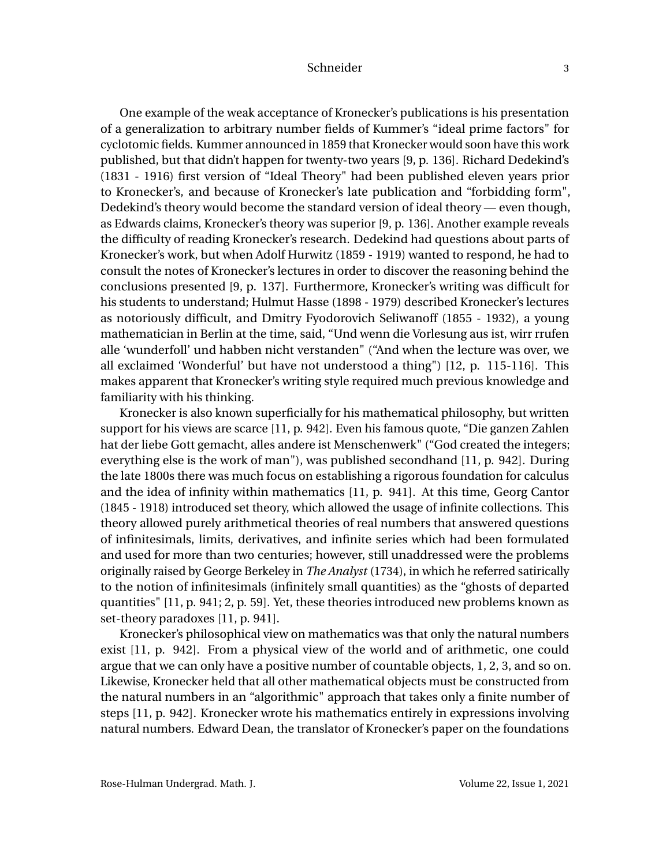One example of the weak acceptance of Kronecker's publications is his presentation of a generalization to arbitrary number fields of Kummer's "ideal prime factors" for cyclotomic fields. Kummer announced in 1859 that Kronecker would soon have this work published, but that didn't happen for twenty-two years [9, p. 136]. Richard Dedekind's (1831 - 1916) first version of "Ideal Theory" had been published eleven years prior to Kronecker's, and because of Kronecker's late publication and "forbidding form", Dedekind's theory would become the standard version of ideal theory — even though, as Edwards claims, Kronecker's theory was superior [9, p. 136]. Another example reveals the difficulty of reading Kronecker's research. Dedekind had questions about parts of Kronecker's work, but when Adolf Hurwitz (1859 - 1919) wanted to respond, he had to consult the notes of Kronecker's lectures in order to discover the reasoning behind the conclusions presented [9, p. 137]. Furthermore, Kronecker's writing was difficult for his students to understand; Hulmut Hasse (1898 - 1979) described Kronecker's lectures as notoriously difficult, and Dmitry Fyodorovich Seliwanoff (1855 - 1932), a young mathematician in Berlin at the time, said, "Und wenn die Vorlesung aus ist, wirr rrufen alle 'wunderfoll' und habben nicht verstanden" ("And when the lecture was over, we all exclaimed 'Wonderful' but have not understood a thing") [12, p. 115-116]. This makes apparent that Kronecker's writing style required much previous knowledge and familiarity with his thinking.

Kronecker is also known superficially for his mathematical philosophy, but written support for his views are scarce [11, p. 942]. Even his famous quote, "Die ganzen Zahlen hat der liebe Gott gemacht, alles andere ist Menschenwerk" ("God created the integers; everything else is the work of man"), was published secondhand [11, p. 942]. During the late 1800s there was much focus on establishing a rigorous foundation for calculus and the idea of infinity within mathematics [11, p. 941]. At this time, Georg Cantor (1845 - 1918) introduced set theory, which allowed the usage of infinite collections. This theory allowed purely arithmetical theories of real numbers that answered questions of infinitesimals, limits, derivatives, and infinite series which had been formulated and used for more than two centuries; however, still unaddressed were the problems originally raised by George Berkeley in *The Analyst* (1734), in which he referred satirically to the notion of infinitesimals (infinitely small quantities) as the "ghosts of departed quantities" [11, p. 941; 2, p. 59]. Yet, these theories introduced new problems known as set-theory paradoxes [11, p. 941].

Kronecker's philosophical view on mathematics was that only the natural numbers exist [11, p. 942]. From a physical view of the world and of arithmetic, one could argue that we can only have a positive number of countable objects, 1, 2, 3, and so on. Likewise, Kronecker held that all other mathematical objects must be constructed from the natural numbers in an "algorithmic" approach that takes only a finite number of steps [11, p. 942]. Kronecker wrote his mathematics entirely in expressions involving natural numbers. Edward Dean, the translator of Kronecker's paper on the foundations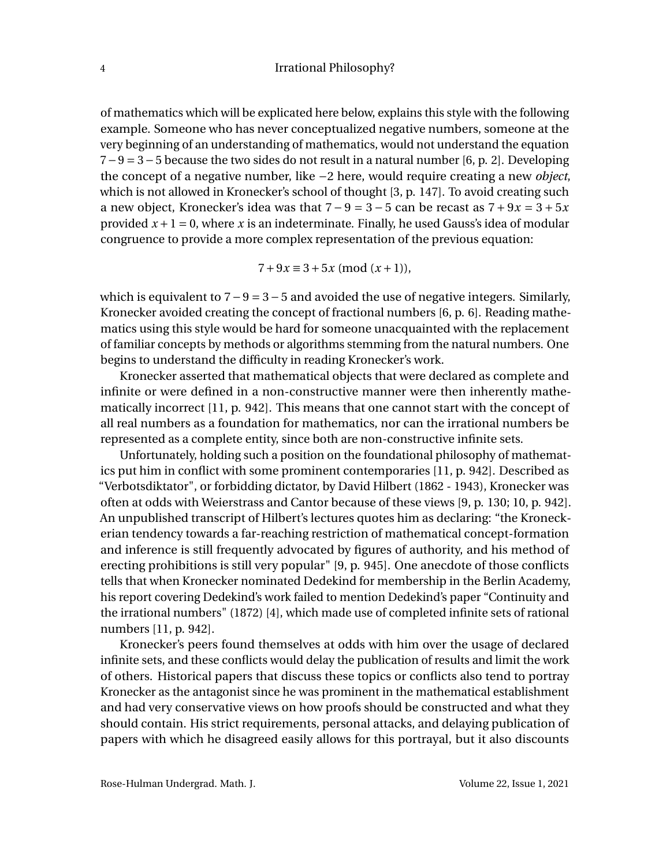of mathematics which will be explicated here below, explains this style with the following example. Someone who has never conceptualized negative numbers, someone at the very beginning of an understanding of mathematics, would not understand the equation 7−9 = 3−5 because the two sides do not result in a natural number [6, p. 2]. Developing the concept of a negative number, like −2 here, would require creating a new *object*, which is not allowed in Kronecker's school of thought [3, p. 147]. To avoid creating such a new object, Kronecker's idea was that  $7 - 9 = 3 - 5$  can be recast as  $7 + 9x = 3 + 5x$ provided  $x + 1 = 0$ , where x is an indeterminate. Finally, he used Gauss's idea of modular congruence to provide a more complex representation of the previous equation:

$$
7 + 9x \equiv 3 + 5x \pmod{(x+1)},
$$

which is equivalent to  $7-9=3-5$  and avoided the use of negative integers. Similarly, Kronecker avoided creating the concept of fractional numbers [6, p. 6]. Reading mathematics using this style would be hard for someone unacquainted with the replacement of familiar concepts by methods or algorithms stemming from the natural numbers. One begins to understand the difficulty in reading Kronecker's work.

Kronecker asserted that mathematical objects that were declared as complete and infinite or were defined in a non-constructive manner were then inherently mathematically incorrect [11, p. 942]. This means that one cannot start with the concept of all real numbers as a foundation for mathematics, nor can the irrational numbers be represented as a complete entity, since both are non-constructive infinite sets.

Unfortunately, holding such a position on the foundational philosophy of mathematics put him in conflict with some prominent contemporaries [11, p. 942]. Described as "Verbotsdiktator", or forbidding dictator, by David Hilbert (1862 - 1943), Kronecker was often at odds with Weierstrass and Cantor because of these views [9, p. 130; 10, p. 942]. An unpublished transcript of Hilbert's lectures quotes him as declaring: "the Kroneckerian tendency towards a far-reaching restriction of mathematical concept-formation and inference is still frequently advocated by figures of authority, and his method of erecting prohibitions is still very popular" [9, p. 945]. One anecdote of those conflicts tells that when Kronecker nominated Dedekind for membership in the Berlin Academy, his report covering Dedekind's work failed to mention Dedekind's paper "Continuity and the irrational numbers" (1872) [4], which made use of completed infinite sets of rational numbers [11, p. 942].

Kronecker's peers found themselves at odds with him over the usage of declared infinite sets, and these conflicts would delay the publication of results and limit the work of others. Historical papers that discuss these topics or conflicts also tend to portray Kronecker as the antagonist since he was prominent in the mathematical establishment and had very conservative views on how proofs should be constructed and what they should contain. His strict requirements, personal attacks, and delaying publication of papers with which he disagreed easily allows for this portrayal, but it also discounts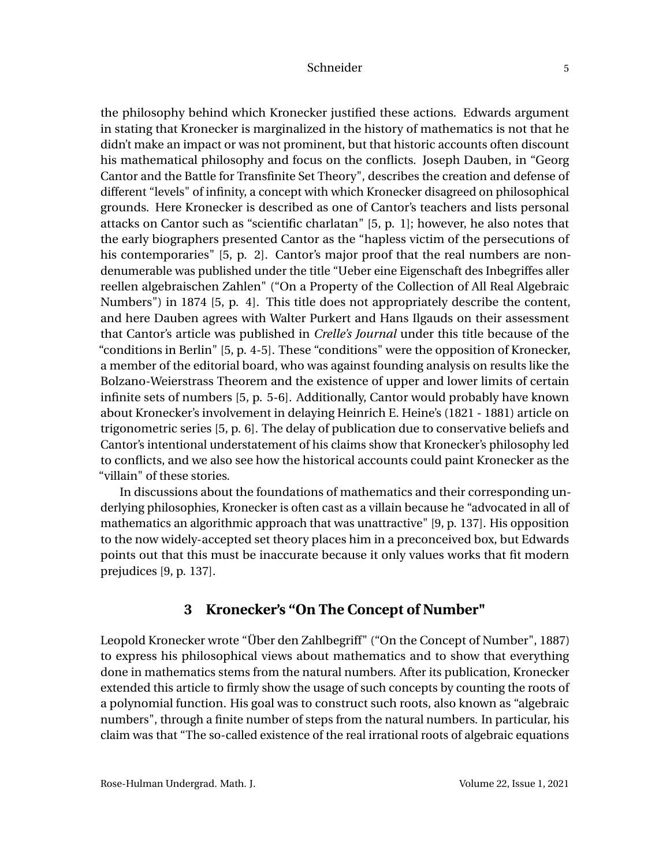the philosophy behind which Kronecker justified these actions. Edwards argument in stating that Kronecker is marginalized in the history of mathematics is not that he didn't make an impact or was not prominent, but that historic accounts often discount his mathematical philosophy and focus on the conflicts. Joseph Dauben, in "Georg Cantor and the Battle for Transfinite Set Theory", describes the creation and defense of different "levels" of infinity, a concept with which Kronecker disagreed on philosophical grounds. Here Kronecker is described as one of Cantor's teachers and lists personal attacks on Cantor such as "scientific charlatan" [5, p. 1]; however, he also notes that the early biographers presented Cantor as the "hapless victim of the persecutions of his contemporaries" [5, p. 2]. Cantor's major proof that the real numbers are nondenumerable was published under the title "Ueber eine Eigenschaft des Inbegriffes aller reellen algebraischen Zahlen" ("On a Property of the Collection of All Real Algebraic Numbers") in 1874 [5, p. 4]. This title does not appropriately describe the content, and here Dauben agrees with Walter Purkert and Hans Ilgauds on their assessment that Cantor's article was published in *Crelle's Journal* under this title because of the "conditions in Berlin" [5, p. 4-5]. These "conditions" were the opposition of Kronecker, a member of the editorial board, who was against founding analysis on results like the Bolzano-Weierstrass Theorem and the existence of upper and lower limits of certain infinite sets of numbers [5, p. 5-6]. Additionally, Cantor would probably have known about Kronecker's involvement in delaying Heinrich E. Heine's (1821 - 1881) article on trigonometric series [5, p. 6]. The delay of publication due to conservative beliefs and Cantor's intentional understatement of his claims show that Kronecker's philosophy led to conflicts, and we also see how the historical accounts could paint Kronecker as the "villain" of these stories.

In discussions about the foundations of mathematics and their corresponding underlying philosophies, Kronecker is often cast as a villain because he "advocated in all of mathematics an algorithmic approach that was unattractive" [9, p. 137]. His opposition to the now widely-accepted set theory places him in a preconceived box, but Edwards points out that this must be inaccurate because it only values works that fit modern prejudices [9, p. 137].

## **3 Kronecker's "On The Concept of Number"**

Leopold Kronecker wrote "Über den Zahlbegriff" ("On the Concept of Number", 1887) to express his philosophical views about mathematics and to show that everything done in mathematics stems from the natural numbers. After its publication, Kronecker extended this article to firmly show the usage of such concepts by counting the roots of a polynomial function. His goal was to construct such roots, also known as "algebraic numbers", through a finite number of steps from the natural numbers. In particular, his claim was that "The so-called existence of the real irrational roots of algebraic equations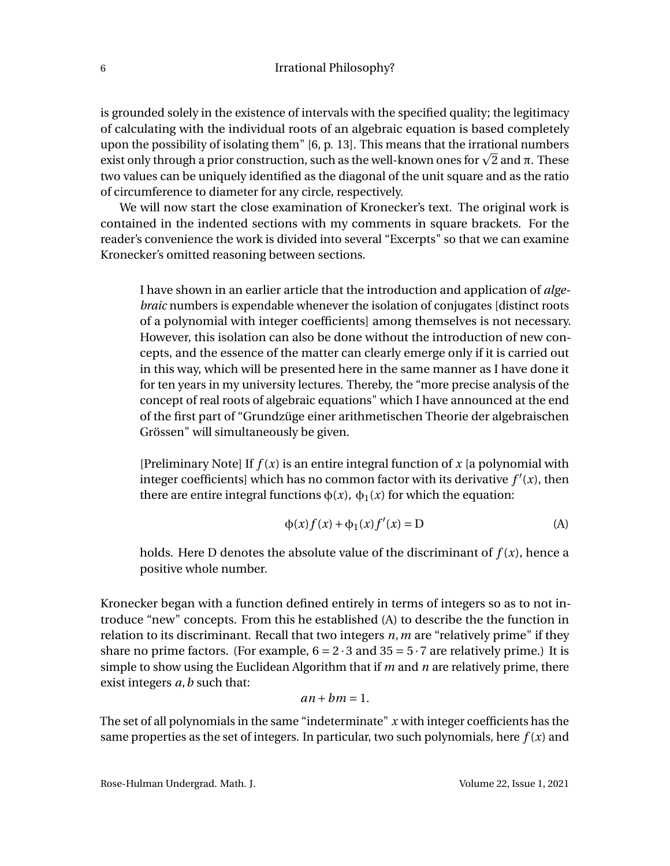is grounded solely in the existence of intervals with the specified quality; the legitimacy of calculating with the individual roots of an algebraic equation is based completely upon the possibility of isolating them" [6, p. 13]. This means that the irrational numbers upon the possibility of isolating them" [6, p. 13]. This means that the irrational numbers<br>exist only through a prior construction, such as the well-known ones for  $\sqrt{2}$  and π. These two values can be uniquely identified as the diagonal of the unit square and as the ratio of circumference to diameter for any circle, respectively.

We will now start the close examination of Kronecker's text. The original work is contained in the indented sections with my comments in square brackets. For the reader's convenience the work is divided into several "Excerpts" so that we can examine Kronecker's omitted reasoning between sections.

I have shown in an earlier article that the introduction and application of *algebraic* numbers is expendable whenever the isolation of conjugates [distinct roots of a polynomial with integer coefficients] among themselves is not necessary. However, this isolation can also be done without the introduction of new concepts, and the essence of the matter can clearly emerge only if it is carried out in this way, which will be presented here in the same manner as I have done it for ten years in my university lectures. Thereby, the "more precise analysis of the concept of real roots of algebraic equations" which I have announced at the end of the first part of "Grundzüge einer arithmetischen Theorie der algebraischen Grössen" will simultaneously be given.

[Preliminary Note] If  $f(x)$  is an entire integral function of  $x$  [a polynomial with integer coefficients] which has no common factor with its derivative  $f'(x)$ , then there are entire integral functions  $\phi(x)$ ,  $\phi_1(x)$  for which the equation:

$$
\phi(x)f(x) + \phi_1(x)f'(x) = D \tag{A}
$$

holds. Here D denotes the absolute value of the discriminant of  $f(x)$ , hence a positive whole number.

Kronecker began with a function defined entirely in terms of integers so as to not introduce "new" concepts. From this he established (A) to describe the the function in relation to its discriminant. Recall that two integers *n*,*m* are "relatively prime" if they share no prime factors. (For example,  $6 = 2 \cdot 3$  and  $35 = 5 \cdot 7$  are relatively prime.) It is simple to show using the Euclidean Algorithm that if *m* and *n* are relatively prime, there exist integers *a*,*b* such that:

$$
an + bm = 1.
$$

The set of all polynomials in the same "indeterminate" *x* with integer coefficients has the same properties as the set of integers. In particular, two such polynomials, here  $f(x)$  and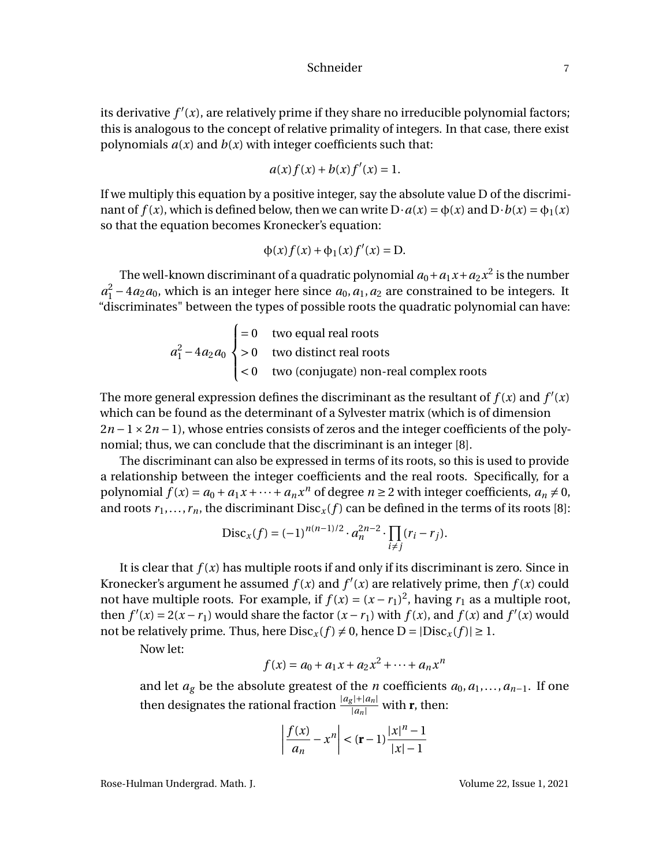its derivative  $f'(x)$ , are relatively prime if they share no irreducible polynomial factors; this is analogous to the concept of relative primality of integers. In that case, there exist polynomials  $a(x)$  and  $b(x)$  with integer coefficients such that:

$$
a(x)f(x) + b(x)f'(x) = 1.
$$

If we multiply this equation by a positive integer, say the absolute value D of the discriminant of  $f(x)$ , which is defined below, then we can write  $D \cdot a(x) = \phi(x)$  and  $D \cdot b(x) = \phi_1(x)$ so that the equation becomes Kronecker's equation:

$$
\phi(x)f(x) + \phi_1(x)f'(x) = D.
$$

The well-known discriminant of a quadratic polynomial  $a_0 + a_1 x + a_2 x^2$  is the number  $a_1^2 - 4a_2a_0$ , which is an integer here since  $a_0$ ,  $a_1$ ,  $a_2$  are constrained to be integers. It "discriminates" between the types of possible roots the quadratic polynomial can have:

$$
a_1^2 - 4a_2a_0 \begin{cases} = 0 & \text{two equal real roots} \\ > 0 & \text{two distinct real roots} \\ < 0 & \text{two (conjugate) non-real complex roots} \end{cases}
$$

The more general expression defines the discriminant as the resultant of  $f(x)$  and  $f'(x)$ which can be found as the determinant of a Sylvester matrix (which is of dimension  $2n-1\times 2n-1$ ), whose entries consists of zeros and the integer coefficients of the polynomial; thus, we can conclude that the discriminant is an integer [8].

The discriminant can also be expressed in terms of its roots, so this is used to provide a relationship between the integer coefficients and the real roots. Specifically, for a polynomial  $f(x) = a_0 + a_1x + \cdots + a_nx^n$  of degree  $n \ge 2$  with integer coefficients,  $a_n \ne 0$ , and roots  $r_1, \ldots, r_n$ , the discriminant  $Disc_x(f)$  can be defined in the terms of its roots [8]:

$$
Disc_x(f) = (-1)^{n(n-1)/2} \cdot a_n^{2n-2} \cdot \prod_{i \neq j} (r_i - r_j).
$$

It is clear that  $f(x)$  has multiple roots if and only if its discriminant is zero. Since in Kronecker's argument he assumed  $f(x)$  and  $f'(x)$  are relatively prime, then  $f(x)$  could not have multiple roots. For example, if  $f(x) = (x - r_1)^2$ , having  $r_1$  as a multiple root, then  $f'(x) = 2(x - r_1)$  would share the factor  $(x - r_1)$  with  $f(x)$ , and  $f(x)$  and  $f'(x)$  would not be relatively prime. Thus, here  $Disc_x(f) \neq 0$ , hence  $D = |Disc_x(f)| \geq 1$ .

Now let:

$$
f(x) = a_0 + a_1 x + a_2 x^2 + \dots + a_n x^n
$$

and let  $a_g$  be the absolute greatest of the *n* coefficients  $a_0, a_1, \ldots, a_{n-1}$ . If one then designates the rational fraction  $\frac{|a_g|+|a_n|}{|a_n|}$  with **r**, then:

$$
\left| \frac{f(x)}{a_n} - x^n \right| < (\mathbf{r} - 1) \frac{|x|^n - 1}{|x| - 1}
$$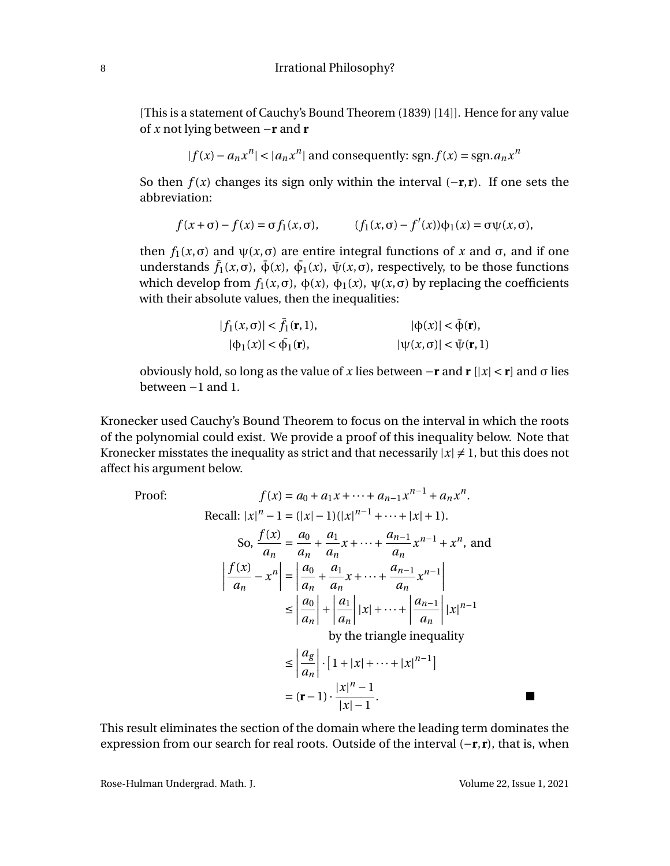[This is a statement of Cauchy's Bound Theorem (1839) [14]]. Hence for any value of *x* not lying between −**r** and **r**

$$
|f(x) - a_n x^n| < |a_n x^n| \text{ and consequently: } \text{sgn.f}(x) = \text{sgn}.a_n x^n
$$

So then  $f(x)$  changes its sign only within the interval  $(-r, r)$ . If one sets the abbreviation:

$$
f(x+\sigma)-f(x)=\sigma f_1(x,\sigma), \qquad (f_1(x,\sigma)-f'(x))\phi_1(x)=\sigma\psi(x,\sigma),
$$

then  $f_1(x, σ)$  and  $ψ(x, σ)$  are entire integral functions of x and  $σ$ , and if one understands  $\bar{f}_1(x,\sigma)$ ,  $\bar{\phi}(x)$ ,  $\bar{\phi}_1(x)$ ,  $\bar{\psi}(x,\sigma)$ , respectively, to be those functions which develop from  $f_1(x, σ)$ ,  $\phi(x)$ ,  $\phi_1(x)$ ,  $\psi(x, σ)$  by replacing the coefficients with their absolute values, then the inequalities:

$$
|f_1(x, \sigma)| < \bar{f}_1(\mathbf{r}, 1),
$$
  
\n
$$
|\varphi_1(x)| < \bar{\varphi}_1(\mathbf{r}),
$$
  
\n
$$
|\psi(x, \sigma)| < \bar{\psi}(\mathbf{r}, 1)
$$

obviously hold, so long as the value of *x* lies between −**r** and **r** [|*x*| < **r**] and σ lies between −1 and 1.

Kronecker used Cauchy's Bound Theorem to focus on the interval in which the roots of the polynomial could exist. We provide a proof of this inequality below. Note that Kronecker misstates the inequality as strict and that necessarily  $|x| \neq 1$ , but this does not affect his argument below.

Proof:  
\n
$$
f(x) = a_0 + a_1 x + \dots + a_{n-1} x^{n-1} + a_n x^n.
$$
\nRecall:  $|x|^n - 1 = (|x| - 1)(|x|^{n-1} + \dots + |x| + 1).$   
\nSo, 
$$
\frac{f(x)}{a_n} = \frac{a_0}{a_n} + \frac{a_1}{a_n} x + \dots + \frac{a_{n-1}}{a_n} x^{n-1} + x^n,
$$
 and  
\n
$$
\left| \frac{f(x)}{a_n} - x^n \right| = \left| \frac{a_0}{a_n} + \frac{a_1}{a_n} x + \dots + \frac{a_{n-1}}{a_n} x^{n-1} \right|
$$
\n
$$
\leq \left| \frac{a_0}{a_n} \right| + \left| \frac{a_1}{a_n} \right| |x| + \dots + \left| \frac{a_{n-1}}{a_n} \right| |x|^{n-1}
$$
\nby the triangle inequality  
\n
$$
\leq \left| \frac{a_g}{a_n} \right| \cdot [1 + |x| + \dots + |x|^{n-1}]
$$
\n
$$
= (\mathbf{r} - 1) \cdot \frac{|x|^n - 1}{|x| - 1}.
$$

This result eliminates the section of the domain where the leading term dominates the expression from our search for real roots. Outside of the interval (−**r**,**r**), that is, when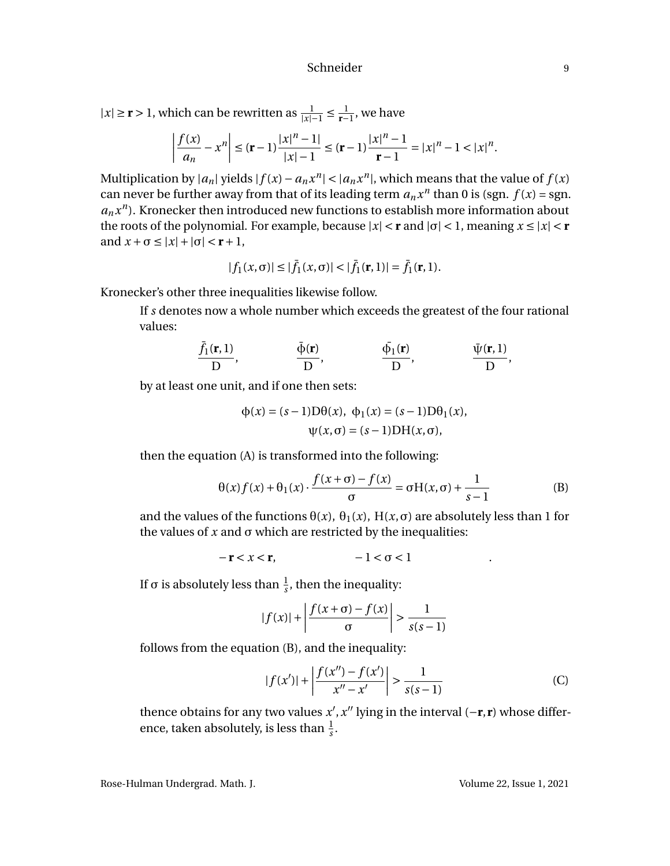$|x| \ge r > 1$ , which can be rewritten as  $\frac{1}{|x|-1} \le \frac{1}{r-1}$ , we have

$$
\left|\frac{f(x)}{a_n} - x^n\right| \le (\mathbf{r} - 1)\frac{|x|^n - 1|}{|x| - 1} \le (\mathbf{r} - 1)\frac{|x|^n - 1}{|\mathbf{r} - 1|} = |x|^n - 1 < |x|^n.
$$

Multiplication by  $|a_n|$  yields  $|f(x) - a_n x^n| < |a_n x^n|$ , which means that the value of  $f(x)$ can never be further away from that of its leading term  $a_n x^n$  than 0 is (sgn.  $f(x) =$ sgn.  $a_n x^n$ ). Kronecker then introduced new functions to establish more information about the roots of the polynomial. For example, because  $|x| < r$  and  $|\sigma| < 1$ , meaning  $x \le |x| < r$ and  $x + \sigma \le |x| + |\sigma| < r + 1$ ,

$$
|f_1(x,\sigma)| \leq |\bar{f}_1(x,\sigma)| < |\bar{f}_1(\mathbf{r},1)| = \bar{f}_1(\mathbf{r},1).
$$

Kronecker's other three inequalities likewise follow.

If *s* denotes now a whole number which exceeds the greatest of the four rational values:

$$
\frac{\bar{f}_1(\mathbf{r},1)}{D}, \qquad \frac{\bar{\phi}(\mathbf{r})}{D}, \qquad \frac{\bar{\phi}_1(\mathbf{r})}{D}, \qquad \frac{\bar{\psi}(\mathbf{r},1)}{D},
$$

by at least one unit, and if one then sets:

$$
\Phi(x) = (s-1)D\theta(x), \ \Phi_1(x) = (s-1)D\theta_1(x),
$$

$$
\psi(x, \sigma) = (s-1)DH(x, \sigma),
$$

then the equation (A) is transformed into the following:

$$
\theta(x)f(x) + \theta_1(x) \cdot \frac{f(x+\sigma) - f(x)}{\sigma} = \sigma H(x, \sigma) + \frac{1}{s-1}
$$
 (B)

and the values of the functions  $\theta(x)$ ,  $\theta_1(x)$ ,  $H(x, \sigma)$  are absolutely less than 1 for the values of  $x$  and  $σ$  which are restricted by the inequalities:

$$
-r < x < r, \quad -1 < \sigma < 1 \quad .
$$

If σ is absolutely less than  $\frac{1}{s}$ , then the inequality:

$$
|f(x)| + \left| \frac{f(x+\sigma) - f(x)}{\sigma} \right| > \frac{1}{s(s-1)}
$$

follows from the equation (B), and the inequality:

$$
|f(x')| + \left| \frac{f(x'') - f(x')}{x'' - x'} \right| > \frac{1}{s(s-1)} \tag{C}
$$

thence obtains for any two values  $x'$ ,  $x''$  lying in the interval ( $-\mathbf{r}, \mathbf{r}$ ) whose difference, taken absolutely, is less than  $\frac{1}{s}$ .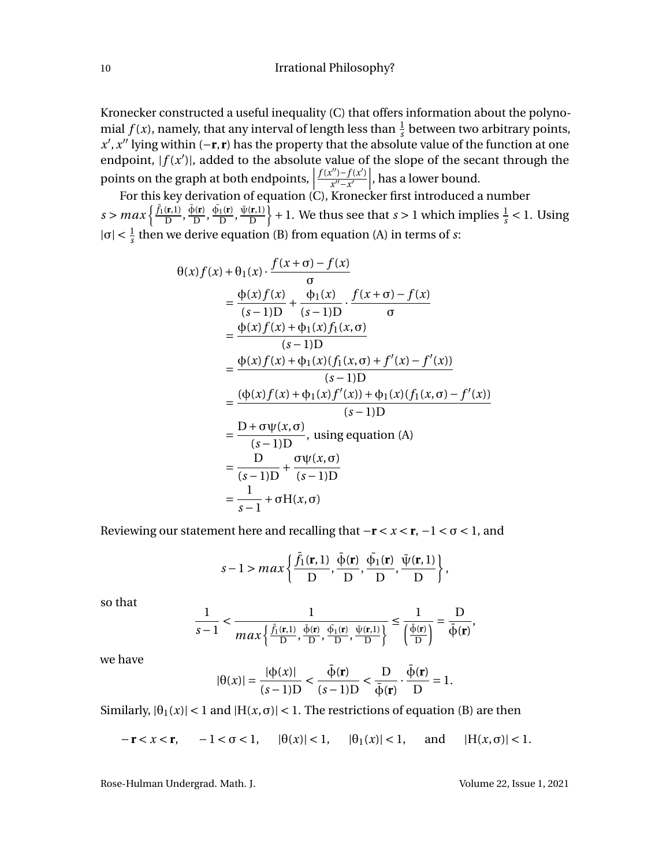Kronecker constructed a useful inequality (C) that offers information about the polynomial  $f(x)$ , namely, that any interval of length less than  $\frac{1}{s}$  between two arbitrary points, *x*', *x*<sup>"</sup> lying within (−**r**,**r**) has the property that the absolute value of the function at one endpoint,  $|f(x')|$ , added to the absolute value of the slope of the secant through the points on the graph at both endpoints,  $\frac{f(x'')-f(x')}{x''-x'}$ ¯  $\left.\frac{x'' - x'}{x'' - x'}\right|$ , has a lower bound.

For this key derivation of equation (C), Kronecker first introduced a number  $s > max\left\{\frac{\bar{f}_1(\mathbf{r},1)}{D},\frac{\bar{\phi}(\mathbf{r})}{D}\right\}$  $\frac{\bar{\phi_1}(\mathbf{r})}{D}, \frac{\bar{\phi_1}(\mathbf{r})}{D}$  $\frac{\bar{\psi}(\mathbf{r},l)}{D}$ ,  $\frac{\bar{\psi}(\mathbf{r},l)}{D}$ D  $\{+1. \text{ We thus see that } s > 1 \text{ which implies } \frac{1}{s} < 1. \text{ Using } s \leq 1.$  $|\sigma| < \frac{1}{s}$  then we derive equation (B) from equation (A) in terms of *s*:

$$
\theta(x) f(x) + \theta_1(x) \cdot \frac{f(x+\sigma) - f(x)}{\sigma} \n= \frac{\phi(x) f(x)}{(s-1)D} + \frac{\phi_1(x)}{(s-1)D} \cdot \frac{f(x+\sigma) - f(x)}{\sigma} \n= \frac{\phi(x) f(x) + \phi_1(x) f_1(x, \sigma)}{(s-1)D} \n= \frac{\phi(x) f(x) + \phi_1(x) (f_1(x, \sigma) + f'(x) - f'(x))}{(s-1)D} \n= \frac{(\phi(x) f(x) + \phi_1(x) f'(x)) + \phi_1(x) (f_1(x, \sigma) - f'(x))}{(s-1)D} \n= \frac{D + \sigma \psi(x, \sigma)}{(s-1)D} , using equation (A) \n= \frac{D}{(s-1)D} + \frac{\sigma \psi(x, \sigma)}{(s-1)D} \n= \frac{1}{s-1} + \sigma H(x, \sigma)
$$

Reviewing our statement here and recalling that  $−r < x < r, −1 < σ < 1$ , and

$$
s-1 > max\left\{\frac{\bar{f}_1(\mathbf{r},1)}{D}, \frac{\bar{\phi}(\mathbf{r})}{D}, \frac{\bar{\phi}_1(\mathbf{r})}{D}, \frac{\bar{\psi}(\mathbf{r},1)}{D}\right\},\right\}
$$

so that

$$
\frac{1}{s-1} < \frac{1}{\max\left\{\frac{\bar{f}_1(\mathbf{r},1)}{D},\frac{\bar{\phi}(\mathbf{r})}{D},\frac{\bar{\psi}_1(\mathbf{r})}{D},\frac{\bar{\psi}(\mathbf{r},1)}{D}\right\}} \leq \frac{1}{\left(\frac{\bar{\phi}(\mathbf{r})}{D}\right)} = \frac{D}{\bar{\phi}(\mathbf{r})},
$$

we have

$$
|\theta(x)| = \frac{|\phi(x)|}{(s-1)D} < \frac{\bar{\phi}(\mathbf{r})}{(s-1)D} < \frac{D}{\bar{\phi}(\mathbf{r})} \cdot \frac{\bar{\phi}(\mathbf{r})}{D} = 1.
$$

Similarly,  $|\theta_1(x)| < 1$  and  $|H(x, \sigma)| < 1$ . The restrictions of equation (B) are then

$$
-\mathbf{r} < x < \mathbf{r}, \quad -1 < \sigma < 1, \quad |\theta(x)| < 1, \quad |\theta_1(x)| < 1, \quad \text{and} \quad |H(x, \sigma)| < 1.
$$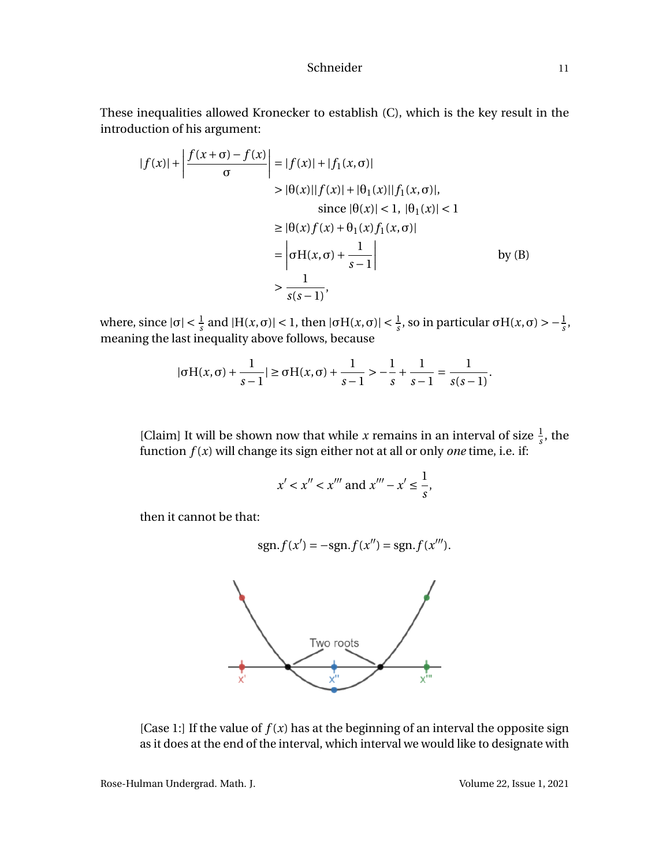These inequalities allowed Kronecker to establish (C), which is the key result in the introduction of his argument:

$$
|f(x)| + \left| \frac{f(x+\sigma) - f(x)}{\sigma} \right| = |f(x)| + |f_1(x, \sigma)|
$$
  
> |\theta(x)||f(x)| + |\theta\_1(x)||f\_1(x, \sigma)|,  
since |\theta(x)| < 1, |\theta\_1(x)| < 1  

$$
\geq |\theta(x)f(x) + \theta_1(x)f_1(x, \sigma)|
$$

$$
= \left| \sigma H(x, \sigma) + \frac{1}{s-1} \right| \qquad \qquad \text{by (B)}
$$

$$
> \frac{1}{s(s-1)},
$$

where, since  $|\sigma| < \frac{1}{s}$  and  $|H(x, \sigma)| < 1$ , then  $|\sigma H(x, \sigma)| < \frac{1}{s}$ , so in particular  $\sigma H(x, \sigma) > -\frac{1}{s}$ , meaning the last inequality above follows, because

$$
|\sigma H(x,\sigma) + \frac{1}{s-1}| \ge \sigma H(x,\sigma) + \frac{1}{s-1} > -\frac{1}{s} + \frac{1}{s-1} = \frac{1}{s(s-1)}.
$$

[Claim] It will be shown now that while *x* remains in an interval of size  $\frac{1}{s}$ , the function *f* (*x*) will change its sign either not at all or only *one* time, i.e. if:

$$
x' < x'' < x'''
$$
 and  $x''' - x' \leq \frac{1}{s}$ ,

then it cannot be that:

$$
sgn.f(x') = -sgn.f(x'') = sgn.f(x''').
$$



[Case 1:] If the value of  $f(x)$  has at the beginning of an interval the opposite sign as it does at the end of the interval, which interval we would like to designate with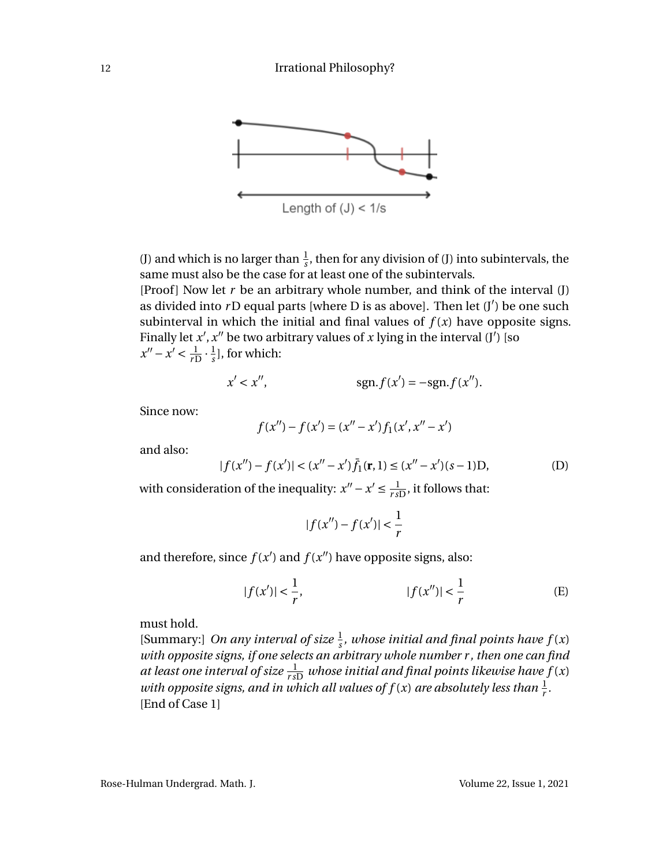

(J) and which is no larger than  $\frac{1}{s}$ , then for any division of (J) into subintervals, the same must also be the case for at least one of the subintervals.

[Proof] Now let  $r$  be an arbitrary whole number, and think of the interval  $(J)$ ] as divided into rD equal parts [where D is as above]. Then let (J') be one such subinterval in which the initial and final values of  $f(x)$  have opposite signs. Finally let  $x'$ ,  $x''$  be two arbitrary values of  $x$  lying in the interval  $(j')$  [so  $x'' - x' < \frac{1}{r}$  $\frac{1}{rD} \cdot \frac{1}{s}$  $\frac{1}{s}$ ], for which:

$$
x' < x'', \quad \text{sgn.f}(x') = -\text{sgn.f}(x'').
$$

Since now:

$$
f(x'') - f(x') = (x'' - x')f_1(x', x'' - x')
$$

and also:

$$
|f(x'') - f(x')| < (x'' - x')\bar{f}_1(\mathbf{r}, 1) \le (x'' - x')(s - 1)D,\tag{D}
$$

with consideration of the inequality:  $x'' - x' \leq \frac{1}{rs}$  $\frac{1}{r_{sD}}$ , it follows that:

$$
|f(x'') - f(x')| < \frac{1}{r}
$$

and therefore, since  $f(x')$  and  $f(x'')$  have opposite signs, also:

$$
|f(x')| < \frac{1}{r}, \qquad |f(x'')| < \frac{1}{r} \qquad \qquad (E)
$$

must hold.

[Summary:] *On any interval of size*  $\frac{1}{s}$ *, whose initial and final points have*  $f(x)$ *with opposite signs, if one selects an arbitrary whole number r , then one can find at least one interval of size*  $\frac{1}{r\,5D}}$  *whose initial and final points likewise have f(x)* with opposite signs, and in which all values of  $f(x)$  are absolutely less than  $\frac{1}{r}$ . [End of Case 1]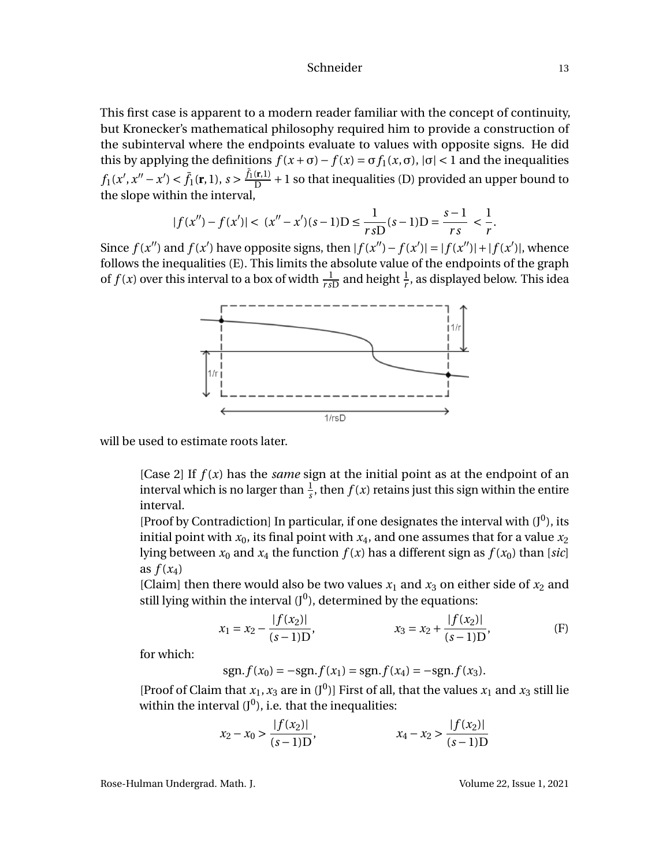This first case is apparent to a modern reader familiar with the concept of continuity, but Kronecker's mathematical philosophy required him to provide a construction of the subinterval where the endpoints evaluate to values with opposite signs. He did this by applying the definitions  $f(x + \sigma) - f(x) = \sigma f_1(x, \sigma)$ ,  $|\sigma| < 1$  and the inequalities  $f_1(x', x'' - x') < \bar{f}_1(\mathbf{r}, 1), s > \frac{\bar{f}_1(\mathbf{r}, 1)}{D}$  $\frac{f(r,1)}{D}$  + 1 so that inequalities (D) provided an upper bound to the slope within the interval,

$$
|f(x'') - f(x')| < (x'' - x')(s - 1)D \le \frac{1}{r \, sD} (s - 1)D = \frac{s - 1}{r \, s} < \frac{1}{r}.
$$

Since  $f(x'')$  and  $f(x')$  have opposite signs, then  $|f(x'') - f(x')| = |f(x'')| + |f(x')|$ , whence follows the inequalities (E). This limits the absolute value of the endpoints of the graph of  $f(x)$  over this interval to a box of width  $\frac{1}{r_sD}$  and height  $\frac{1}{r}$ , as displayed below. This idea



will be used to estimate roots later.

[Case 2] If *f* (*x*) has the *same* sign at the initial point as at the endpoint of an interval which is no larger than  $\frac{1}{s}$ , then  $f(x)$  retains just this sign within the entire interval.

[Proof by Contradiction] In particular, if one designates the interval with  $(J^0)$ , its initial point with  $x_0$ , its final point with  $x_4$ , and one assumes that for a value  $x_2$ lying between  $x_0$  and  $x_4$  the function  $f(x)$  has a different sign as  $f(x_0)$  than [*sic*] as  $f(x_4)$ 

[Claim] then there would also be two values  $x_1$  and  $x_3$  on either side of  $x_2$  and still lying within the interval  $(\mathrm{J}^0)$ , determined by the equations:

$$
x_1 = x_2 - \frac{|f(x_2)|}{(s-1)D}, \qquad x_3 = x_2 + \frac{|f(x_2)|}{(s-1)D}, \qquad (F)
$$

for which:

$$
sgn.f(x_0) = -sgn.f(x_1) = sgn.f(x_4) = -sgn.f(x_3).
$$

[Proof of Claim that  $x_1$ ,  $x_3$  are in  $(J^0)$ ] First of all, that the values  $x_1$  and  $x_3$  still lie within the interval  $(J^0)$ , i.e. that the inequalities:

$$
x_2 - x_0 > \frac{|f(x_2)|}{(s - 1)\mathcal{D}}, \qquad x_4 - x_2 > \frac{|f(x_2)|}{(s - 1)\mathcal{D}}
$$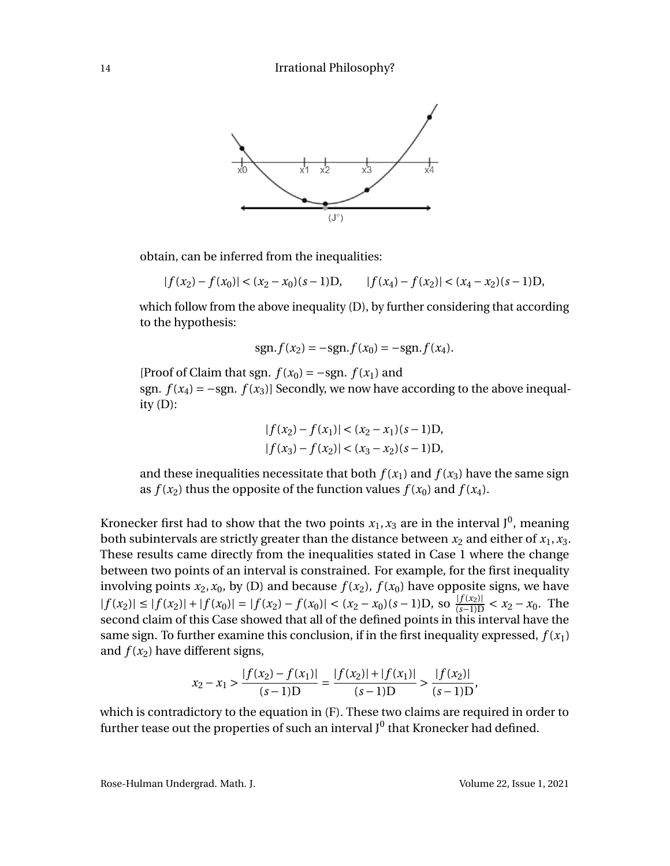

obtain, can be inferred from the inequalities:

 $|f(x_2) - f(x_0)| < (x_2 - x_0)(s-1)D,$   $|f(x_4) - f(x_2)| < (x_4 - x_2)(s-1)D,$ 

which follow from the above inequality (D), by further considering that according to the hypothesis:

$$
sgn.f(x_2) = -sgn.f(x_0) = -sgn.f(x_4).
$$

[Proof of Claim that sgn.  $f(x_0) = -sgn$ .  $f(x_1)$  and sgn.  $f(x_4) = -sgn$ .  $f(x_3)$ ] Secondly, we now have according to the above inequality  $(D)$ :

$$
|f(x_2) - f(x_1)| < (x_2 - x_1)(s - 1)D,
$$
\n
$$
|f(x_3) - f(x_2)| < (x_3 - x_2)(s - 1)D,
$$

and these inequalities necessitate that both  $f(x_1)$  and  $f(x_3)$  have the same sign as  $f(x_2)$  thus the opposite of the function values  $f(x_0)$  and  $f(x_4)$ .

Kronecker first had to show that the two points  $x_1, x_3$  are in the interval J<sup>0</sup>, meaning both subintervals are strictly greater than the distance between  $x_2$  and either of  $x_1, x_3$ . These results came directly from the inequalities stated in Case 1 where the change between two points of an interval is constrained. For example, for the first inequality involving points  $x_2$ ,  $x_0$ , by (D) and because  $f(x_2)$ ,  $f(x_0)$  have opposite signs, we have  $|f(x_2)| \le |f(x_2)| + |f(x_0)| = |f(x_2) - f(x_0)| < (x_2 - x_0)(s - 1)$ . So  $\frac{|f(x_2)|}{(s-1)D} < x_2 - x_0$ . The second claim of this Case showed that all of the defined points in this interval have the same sign. To further examine this conclusion, if in the first inequality expressed,  $f(x_1)$ and  $f(x_2)$  have different signs,

$$
x_2 - x_1 > \frac{|f(x_2) - f(x_1)|}{(s - 1)D} = \frac{|f(x_2)| + |f(x_1)|}{(s - 1)D} > \frac{|f(x_2)|}{(s - 1)D},
$$

which is contradictory to the equation in (F). These two claims are required in order to further tease out the properties of such an interval J $^0$  that Kronecker had defined.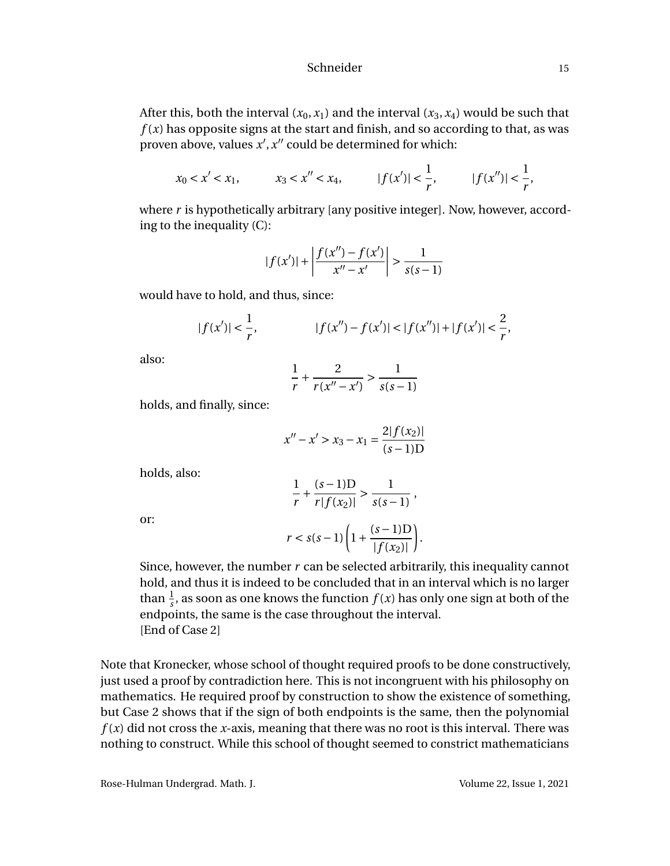After this, both the interval  $(x_0, x_1)$  and the interval  $(x_3, x_4)$  would be such that  $f(x)$  has opposite signs at the start and finish, and so according to that, as was proven above, values  $x'$ ,  $x''$  could be determined for which:

$$
x_0 < x' < x_1
$$
,  $x_3 < x'' < x_4$ ,  $|f(x')| < \frac{1}{r}$ ,  $|f(x'')| < \frac{1}{r}$ ,

where *r* is hypothetically arbitrary [any positive integer]. Now, however, according to the inequality (C):

$$
|f(x')| + \left| \frac{f(x'') - f(x')}{x'' - x'} \right| > \frac{1}{s(s-1)}
$$

would have to hold, and thus, since:

$$
|f(x')| < \frac{1}{r}, \qquad |f(x'') - f(x')| < |f(x'')| + |f(x')| < \frac{2}{r},
$$

also:

$$
\frac{1}{r} + \frac{2}{r(x'' - x')} > \frac{1}{s(s - 1)}
$$

holds, and finally, since:

$$
x'' - x' > x_3 - x_1 = \frac{2|f(x_2)|}{(s-1)D}
$$

holds, also:

$$
\frac{1}{r} + \frac{(s-1)\mathrm{D}}{r|f(x_2)|} > \frac{1}{s(s-1)},
$$

or:

$$
r < s(s-1)\left(1 + \frac{(s-1)\mathcal{D}}{|f(x_2)|}\right).
$$

Since, however, the number *r* can be selected arbitrarily, this inequality cannot hold, and thus it is indeed to be concluded that in an interval which is no larger than  $\frac{1}{s}$ , as soon as one knows the function  $f(x)$  has only one sign at both of the endpoints, the same is the case throughout the interval. [End of Case 2]

Note that Kronecker, whose school of thought required proofs to be done constructively, just used a proof by contradiction here. This is not incongruent with his philosophy on mathematics. He required proof by construction to show the existence of something, but Case 2 shows that if the sign of both endpoints is the same, then the polynomial  $f(x)$  did not cross the *x*-axis, meaning that there was no root is this interval. There was nothing to construct. While this school of thought seemed to constrict mathematicians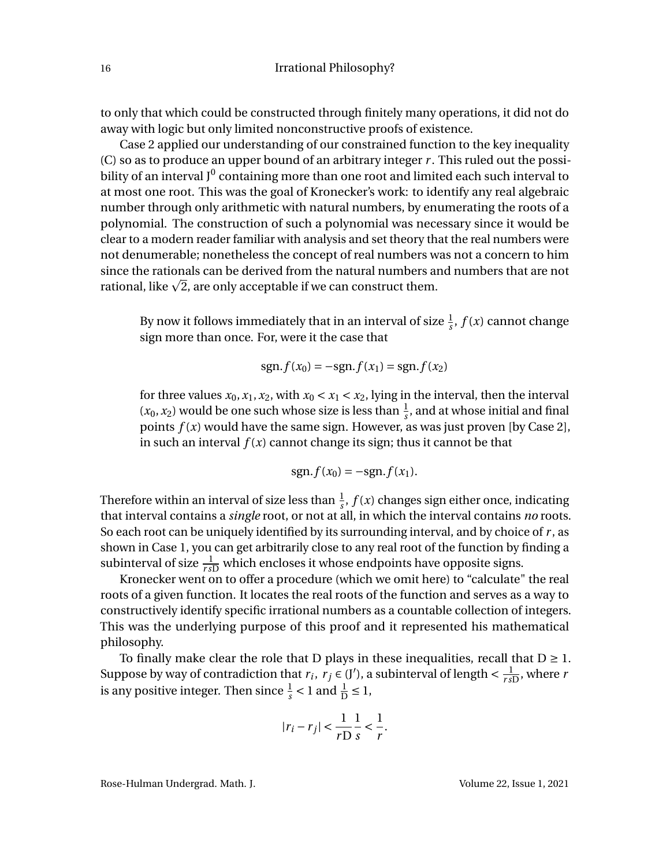to only that which could be constructed through finitely many operations, it did not do away with logic but only limited nonconstructive proofs of existence.

Case 2 applied our understanding of our constrained function to the key inequality (C) so as to produce an upper bound of an arbitrary integer *r* . This ruled out the possibility of an interval J $^0$  containing more than one root and limited each such interval to at most one root. This was the goal of Kronecker's work: to identify any real algebraic number through only arithmetic with natural numbers, by enumerating the roots of a polynomial. The construction of such a polynomial was necessary since it would be clear to a modern reader familiar with analysis and set theory that the real numbers were not denumerable; nonetheless the concept of real numbers was not a concern to him since the rationals can be derived from the natural numbers and numbers that are not since the rationals can be derived from the natural numbers a:<br>rational, like  $\sqrt{2}$ , are only acceptable if we can construct them.

By now it follows immediately that in an interval of size  $\frac{1}{s}$ ,  $f(x)$  cannot change sign more than once. For, were it the case that

$$
sgn.f(x_0) = -sgn.f(x_1) = sgn.f(x_2)
$$

for three values  $x_0, x_1, x_2$ , with  $x_0 < x_1 < x_2$ , lying in the interval, then the interval  $(x_0, x_2)$  would be one such whose size is less than  $\frac{1}{s}$ , and at whose initial and final points  $f(x)$  would have the same sign. However, as was just proven [by Case 2], in such an interval  $f(x)$  cannot change its sign; thus it cannot be that

$$
sgn.f(x_0) = -sgn.f(x_1).
$$

Therefore within an interval of size less than  $\frac{1}{s}$ ,  $f(x)$  changes sign either once, indicating that interval contains a *single* root, or not at all, in which the interval contains *no* roots. So each root can be uniquely identified by its surrounding interval, and by choice of *r* , as shown in Case 1, you can get arbitrarily close to any real root of the function by finding a subinterval of size  $\frac{1}{r_{sD}}$  which encloses it whose endpoints have opposite signs.

Kronecker went on to offer a procedure (which we omit here) to "calculate" the real roots of a given function. It locates the real roots of the function and serves as a way to constructively identify specific irrational numbers as a countable collection of integers. This was the underlying purpose of this proof and it represented his mathematical philosophy.

To finally make clear the role that D plays in these inequalities, recall that  $D \geq 1$ . Suppose by way of contradiction that  $r_i$ ,  $r_j \in (J')$ , a subinterval of length  $\lt \frac{1}{rs}$  $\frac{1}{r_s D}$ , where *r* is any positive integer. Then since  $\frac{1}{s} < 1$  and  $\frac{1}{D} \le 1$ ,

$$
|r_i - r_j| < \frac{1}{r} \frac{1}{s} < \frac{1}{r}.
$$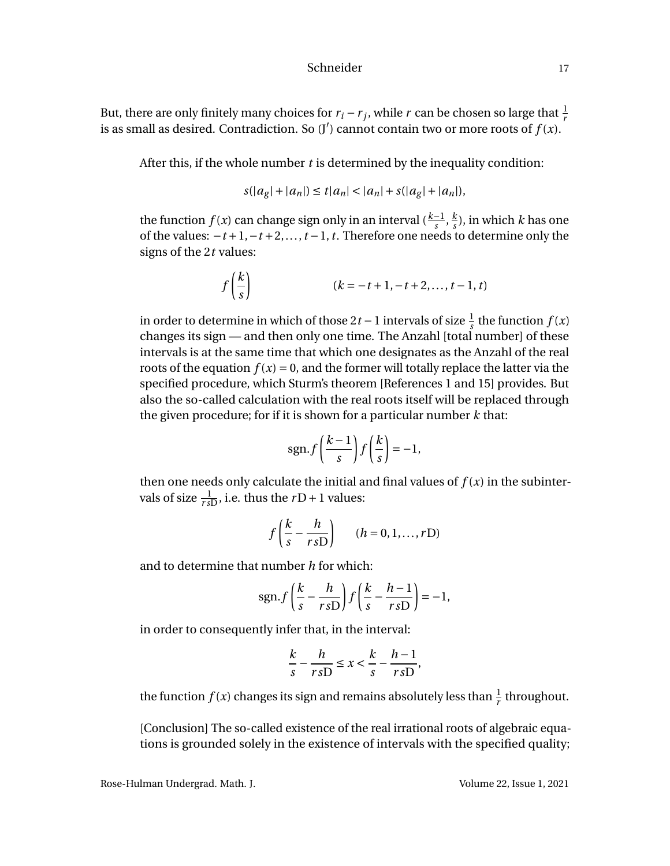But, there are only finitely many choices for  $r_i - r_j$ , while  $r$  can be chosen so large that  $\frac{1}{r}$ is as small as desired. Contradiction. So  $(J')$  cannot contain two or more roots of  $f(x)$ .

After this, if the whole number *t* is determined by the inequality condition:

$$
s(|a_g| + |a_n|) \le t|a_n| < |a_n| + s(|a_g| + |a_n|),
$$

the function *f* (*x*) can change sign only in an interval ( $\frac{k-1}{s}$ ,  $\frac{k}{s}$  $\frac{k}{s}$ ), in which *k* has one of the values: −*t* +1,−*t* +2,...,*t* −1,*t*. Therefore one needs to determine only the signs of the 2*t* values:

$$
f\left(\frac{k}{s}\right)
$$
 \t\t\t $(k = -t + 1, -t + 2, ..., t - 1, t)$ 

in order to determine in which of those 2*t* − 1 intervals of size  $\frac{1}{s}$  the function *f* (*x*) changes its sign — and then only one time. The Anzahl [total number] of these intervals is at the same time that which one designates as the Anzahl of the real roots of the equation  $f(x) = 0$ , and the former will totally replace the latter via the specified procedure, which Sturm's theorem [References 1 and 15] provides. But also the so-called calculation with the real roots itself will be replaced through the given procedure; for if it is shown for a particular number *k* that:

$$
sgn.f\left(\frac{k-1}{s}\right)f\left(\frac{k}{s}\right)=-1,
$$

then one needs only calculate the initial and final values of  $f(x)$  in the subintervals of size  $\frac{1}{r_s D}$ , i.e. thus the *r*D+1 values:

$$
f\left(\frac{k}{s} - \frac{h}{r s D}\right) \qquad (h = 0, 1, \dots, r D)
$$

and to determine that number *h* for which:

$$
sgn.f\left(\frac{k}{s}-\frac{h}{r s D}\right)f\left(\frac{k}{s}-\frac{h-1}{r s D}\right)=-1,
$$

in order to consequently infer that, in the interval:

$$
\frac{k}{s} - \frac{h}{r \, sD} \le x < \frac{k}{s} - \frac{h-1}{r \, sD},
$$

the function  $f(x)$  changes its sign and remains absolutely less than  $\frac{1}{r}$  throughout.

[Conclusion] The so-called existence of the real irrational roots of algebraic equations is grounded solely in the existence of intervals with the specified quality;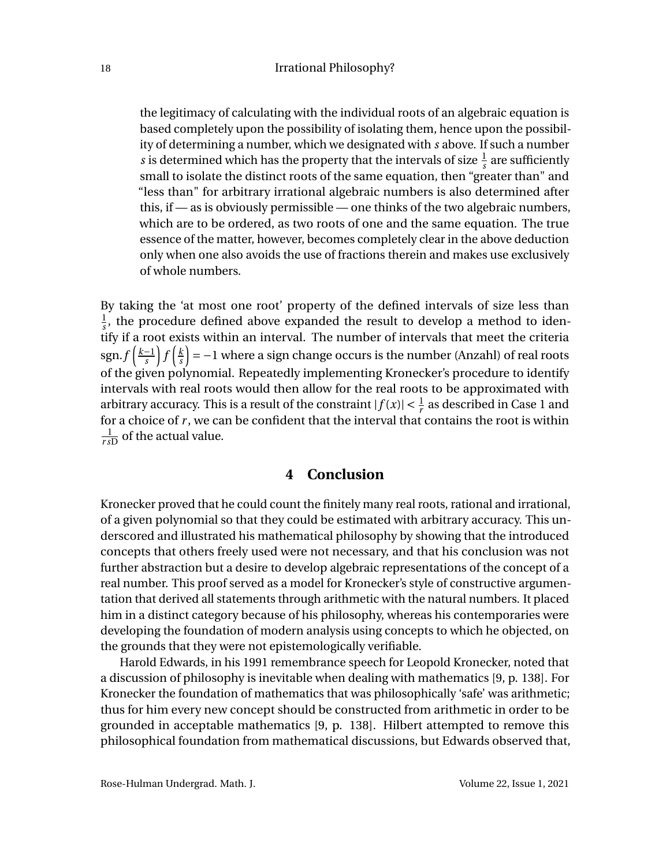the legitimacy of calculating with the individual roots of an algebraic equation is based completely upon the possibility of isolating them, hence upon the possibility of determining a number, which we designated with *s* above. If such a number *s* is determined which has the property that the intervals of size  $\frac{1}{s}$  are sufficiently small to isolate the distinct roots of the same equation, then "greater than" and "less than" for arbitrary irrational algebraic numbers is also determined after this, if — as is obviously permissible — one thinks of the two algebraic numbers, which are to be ordered, as two roots of one and the same equation. The true essence of the matter, however, becomes completely clear in the above deduction only when one also avoids the use of fractions therein and makes use exclusively of whole numbers.

By taking the 'at most one root' property of the defined intervals of size less than 1  $\frac{1}{s}$ , the procedure defined above expanded the result to develop a method to identify if a root exists within an interval. The number of intervals that meet the criteria  $\frac{\text{sgn.}}{s}$ *s*  $\int f\left(\frac{k}{s}\right)$ *s*  $\left( = -1 \right.$  where a sign change occurs is the number (Anzahl) of real roots of the given polynomial. Repeatedly implementing Kronecker's procedure to identify intervals with real roots would then allow for the real roots to be approximated with arbitrary accuracy. This is a result of the constraint  $|f(x)| < \frac{1}{r}$  as described in Case 1 and for a choice of *r* , we can be confident that the interval that contains the root is within 1  $\frac{1}{r_s D}$  of the actual value.

### **4 Conclusion**

Kronecker proved that he could count the finitely many real roots, rational and irrational, of a given polynomial so that they could be estimated with arbitrary accuracy. This underscored and illustrated his mathematical philosophy by showing that the introduced concepts that others freely used were not necessary, and that his conclusion was not further abstraction but a desire to develop algebraic representations of the concept of a real number. This proof served as a model for Kronecker's style of constructive argumentation that derived all statements through arithmetic with the natural numbers. It placed him in a distinct category because of his philosophy, whereas his contemporaries were developing the foundation of modern analysis using concepts to which he objected, on the grounds that they were not epistemologically verifiable.

Harold Edwards, in his 1991 remembrance speech for Leopold Kronecker, noted that a discussion of philosophy is inevitable when dealing with mathematics [9, p. 138]. For Kronecker the foundation of mathematics that was philosophically 'safe' was arithmetic; thus for him every new concept should be constructed from arithmetic in order to be grounded in acceptable mathematics [9, p. 138]. Hilbert attempted to remove this philosophical foundation from mathematical discussions, but Edwards observed that,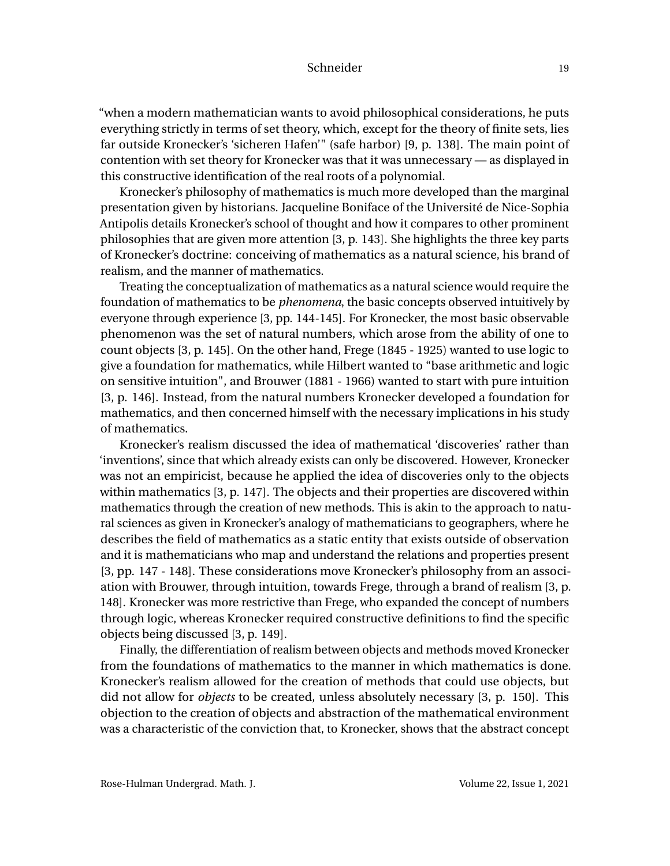"when a modern mathematician wants to avoid philosophical considerations, he puts everything strictly in terms of set theory, which, except for the theory of finite sets, lies far outside Kronecker's 'sicheren Hafen'" (safe harbor) [9, p. 138]. The main point of contention with set theory for Kronecker was that it was unnecessary — as displayed in this constructive identification of the real roots of a polynomial.

Kronecker's philosophy of mathematics is much more developed than the marginal presentation given by historians. Jacqueline Boniface of the Université de Nice-Sophia Antipolis details Kronecker's school of thought and how it compares to other prominent philosophies that are given more attention [3, p. 143]. She highlights the three key parts of Kronecker's doctrine: conceiving of mathematics as a natural science, his brand of realism, and the manner of mathematics.

Treating the conceptualization of mathematics as a natural science would require the foundation of mathematics to be *phenomena*, the basic concepts observed intuitively by everyone through experience [3, pp. 144-145]. For Kronecker, the most basic observable phenomenon was the set of natural numbers, which arose from the ability of one to count objects [3, p. 145]. On the other hand, Frege (1845 - 1925) wanted to use logic to give a foundation for mathematics, while Hilbert wanted to "base arithmetic and logic on sensitive intuition", and Brouwer (1881 - 1966) wanted to start with pure intuition [3, p. 146]. Instead, from the natural numbers Kronecker developed a foundation for mathematics, and then concerned himself with the necessary implications in his study of mathematics.

Kronecker's realism discussed the idea of mathematical 'discoveries' rather than 'inventions', since that which already exists can only be discovered. However, Kronecker was not an empiricist, because he applied the idea of discoveries only to the objects within mathematics [3, p. 147]. The objects and their properties are discovered within mathematics through the creation of new methods. This is akin to the approach to natural sciences as given in Kronecker's analogy of mathematicians to geographers, where he describes the field of mathematics as a static entity that exists outside of observation and it is mathematicians who map and understand the relations and properties present [3, pp. 147 - 148]. These considerations move Kronecker's philosophy from an association with Brouwer, through intuition, towards Frege, through a brand of realism [3, p. 148]. Kronecker was more restrictive than Frege, who expanded the concept of numbers through logic, whereas Kronecker required constructive definitions to find the specific objects being discussed [3, p. 149].

Finally, the differentiation of realism between objects and methods moved Kronecker from the foundations of mathematics to the manner in which mathematics is done. Kronecker's realism allowed for the creation of methods that could use objects, but did not allow for *objects* to be created, unless absolutely necessary [3, p. 150]. This objection to the creation of objects and abstraction of the mathematical environment was a characteristic of the conviction that, to Kronecker, shows that the abstract concept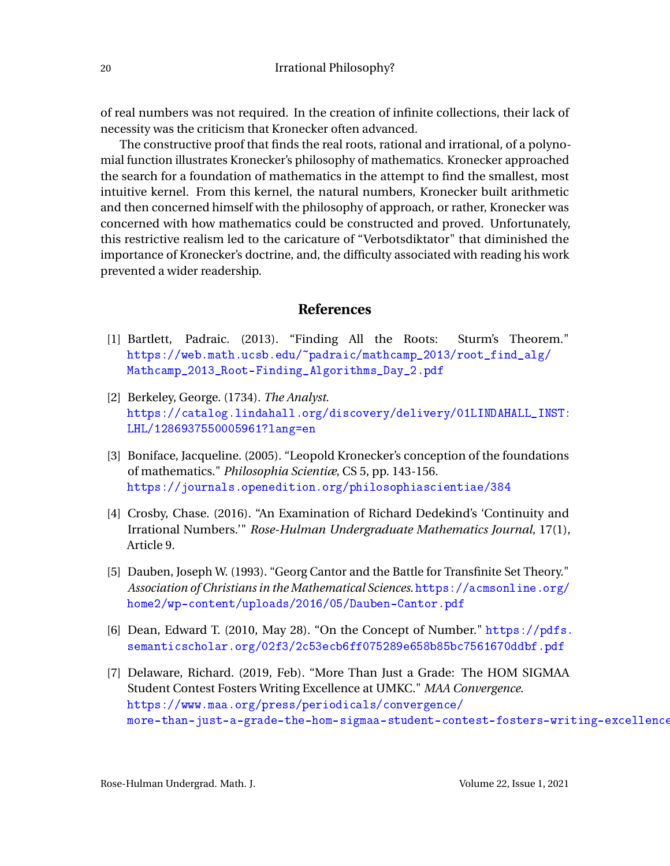of real numbers was not required. In the creation of infinite collections, their lack of necessity was the criticism that Kronecker often advanced.

The constructive proof that finds the real roots, rational and irrational, of a polynomial function illustrates Kronecker's philosophy of mathematics. Kronecker approached the search for a foundation of mathematics in the attempt to find the smallest, most intuitive kernel. From this kernel, the natural numbers, Kronecker built arithmetic and then concerned himself with the philosophy of approach, or rather, Kronecker was concerned with how mathematics could be constructed and proved. Unfortunately, this restrictive realism led to the caricature of "Verbotsdiktator" that diminished the importance of Kronecker's doctrine, and, the difficulty associated with reading his work prevented a wider readership.

### **References**

- [1] Bartlett, Padraic. (2013). "Finding All the Roots: Sturm's Theorem." [https://web.math.ucsb.edu/~padraic/mathcamp\\_2013/root\\_find\\_alg/](https://web.math.ucsb.edu/~padraic/mathcamp_2013/root_find_alg/Mathcamp_2013_Root-Finding_Algorithms_Day_2.pdf) [Mathcamp\\_2013\\_Root-Finding\\_Algorithms\\_Day\\_2.pdf](https://web.math.ucsb.edu/~padraic/mathcamp_2013/root_find_alg/Mathcamp_2013_Root-Finding_Algorithms_Day_2.pdf)
- [2] Berkeley, George. (1734). *The Analyst*. [https://catalog.lindahall.org/discovery/delivery/01LINDAHALL\\_INST:](https://catalog.lindahall.org/discovery/delivery/01LINDAHALL_INST:LHL/1286937550005961?lang=en) [LHL/1286937550005961?lang=en](https://catalog.lindahall.org/discovery/delivery/01LINDAHALL_INST:LHL/1286937550005961?lang=en)
- [3] Boniface, Jacqueline. (2005). "Leopold Kronecker's conception of the foundations of mathematics." *Philosophia Scientiæ*, CS 5, pp. 143-156. <https://journals.openedition.org/philosophiascientiae/384>
- [4] Crosby, Chase. (2016). "An Examination of Richard Dedekind's 'Continuity and Irrational Numbers.'" *Rose-Hulman Undergraduate Mathematics Journal*, 17(1), Article 9.
- [5] Dauben, Joseph W. (1993). "Georg Cantor and the Battle for Transfinite Set Theory." *Association of Christians in the Mathematical Sciences*. [https://acmsonline.org/](https://acmsonline.org/home2/wp-content/uploads/2016/05/Dauben-Cantor.pdf) [home2/wp-content/uploads/2016/05/Dauben-Cantor.pdf](https://acmsonline.org/home2/wp-content/uploads/2016/05/Dauben-Cantor.pdf)
- [6] Dean, Edward T. (2010, May 28). "On the Concept of Number." [https://pdfs.](https://pdfs.semanticscholar.org/02f3/2c53ecb6ff075289e658b85bc7561670ddbf.pdf) [semanticscholar.org/02f3/2c53ecb6ff075289e658b85bc7561670ddbf.pdf](https://pdfs.semanticscholar.org/02f3/2c53ecb6ff075289e658b85bc7561670ddbf.pdf)
- [7] Delaware, Richard. (2019, Feb). "More Than Just a Grade: The HOM SIGMAA Student Contest Fosters Writing Excellence at UMKC." *MAA Convergence*. [https://www.maa.org/press/periodicals/convergence/](https://www.maa.org/press/periodicals/convergence/more-than-just-a-grade-the-hom-sigmaa-student-contest-fosters-writing-excellence-at-umkc) more-than-just-a-grade-the-hom-sigmaa-student-contest-fosters-writing-excellence